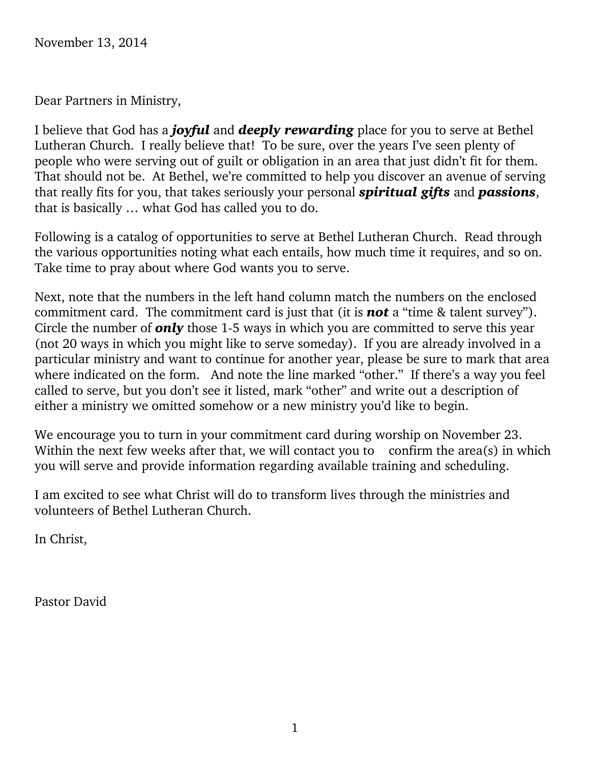November 13, 2014

Dear Partners in Ministry,

I believe that God has a *joyful* and *deeply rewarding* place for you to serve at Bethel Lutheran Church. I really believe that! To be sure, over the years I've seen plenty of people who were serving out of guilt or obligation in an area that just didn't fit for them. That should not be. At Bethel, we're committed to help you discover an avenue of serving that really fits for you, that takes seriously your personal *spiritual gifts* and *passions*, that is basically … what God has called you to do.

Following is a catalog of opportunities to serve at Bethel Lutheran Church. Read through the various opportunities noting what each entails, how much time it requires, and so on. Take time to pray about where God wants you to serve.

Next, note that the numbers in the left hand column match the numbers on the enclosed commitment card. The commitment card is just that (it is *not* a "time & talent survey"). Circle the number of *only* those 1-5 ways in which you are committed to serve this year (not 20 ways in which you might like to serve someday). If you are already involved in a particular ministry and want to continue for another year, please be sure to mark that area where indicated on the form. And note the line marked "other." If there's a way you feel called to serve, but you don't see it listed, mark "other" and write out a description of either a ministry we omitted somehow or a new ministry you'd like to begin.

We encourage you to turn in your commitment card during worship on November 23. Within the next few weeks after that, we will contact you to confirm the area(s) in which you will serve and provide information regarding available training and scheduling.

I am excited to see what Christ will do to transform lives through the ministries and volunteers of Bethel Lutheran Church.

In Christ,

Pastor David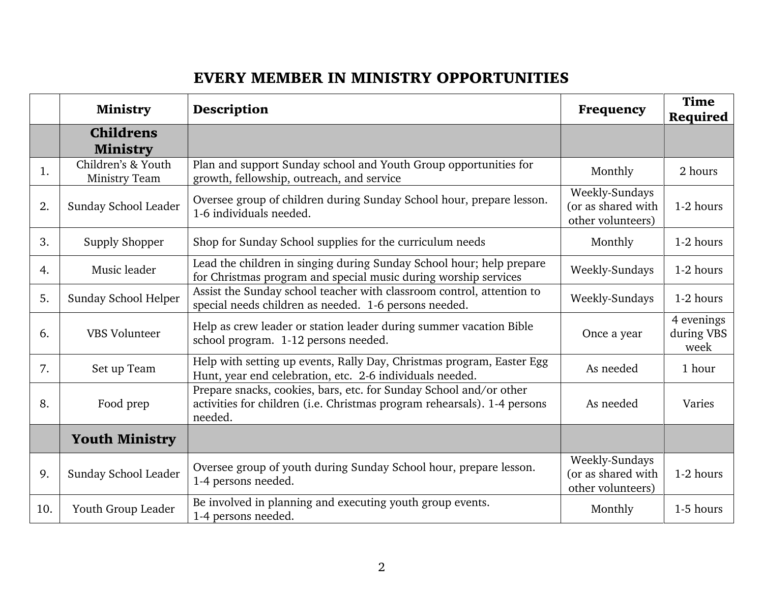## **EVERY MEMBER IN MINISTRY OPPORTUNITIES**

|     | <b>Ministry</b>                            | Description                                                                                                                                               | Frequency                                                 | <b>Time</b><br>Required          |
|-----|--------------------------------------------|-----------------------------------------------------------------------------------------------------------------------------------------------------------|-----------------------------------------------------------|----------------------------------|
|     | <b>Childrens</b><br><b>Ministry</b>        |                                                                                                                                                           |                                                           |                                  |
| 1.  | Children's & Youth<br><b>Ministry Team</b> | Plan and support Sunday school and Youth Group opportunities for<br>growth, fellowship, outreach, and service                                             | Monthly                                                   | 2 hours                          |
| 2.  | Sunday School Leader                       | Oversee group of children during Sunday School hour, prepare lesson.<br>1-6 individuals needed.                                                           | Weekly-Sundays<br>(or as shared with<br>other volunteers) | 1-2 hours                        |
| 3.  | Supply Shopper                             | Shop for Sunday School supplies for the curriculum needs                                                                                                  | Monthly                                                   | 1-2 hours                        |
| 4.  | Music leader                               | Lead the children in singing during Sunday School hour; help prepare<br>for Christmas program and special music during worship services                   | Weekly-Sundays                                            | 1-2 hours                        |
| 5.  | Sunday School Helper                       | Assist the Sunday school teacher with classroom control, attention to<br>special needs children as needed. 1-6 persons needed.                            | Weekly-Sundays                                            | 1-2 hours                        |
| 6.  | <b>VBS</b> Volunteer                       | Help as crew leader or station leader during summer vacation Bible<br>school program. 1-12 persons needed.                                                | Once a year                                               | 4 evenings<br>during VBS<br>week |
| 7.  | Set up Team                                | Help with setting up events, Rally Day, Christmas program, Easter Egg<br>Hunt, year end celebration, etc. 2-6 individuals needed.                         | As needed                                                 | 1 hour                           |
| 8.  | Food prep                                  | Prepare snacks, cookies, bars, etc. for Sunday School and/or other<br>activities for children (i.e. Christmas program rehearsals). 1-4 persons<br>needed. | As needed                                                 | Varies                           |
|     | <b>Youth Ministry</b>                      |                                                                                                                                                           |                                                           |                                  |
| 9.  | Sunday School Leader                       | Oversee group of youth during Sunday School hour, prepare lesson.<br>1-4 persons needed.                                                                  | Weekly-Sundays<br>(or as shared with<br>other volunteers) | 1-2 hours                        |
| 10. | Youth Group Leader                         | Be involved in planning and executing youth group events.<br>1-4 persons needed.                                                                          | Monthly                                                   | 1-5 hours                        |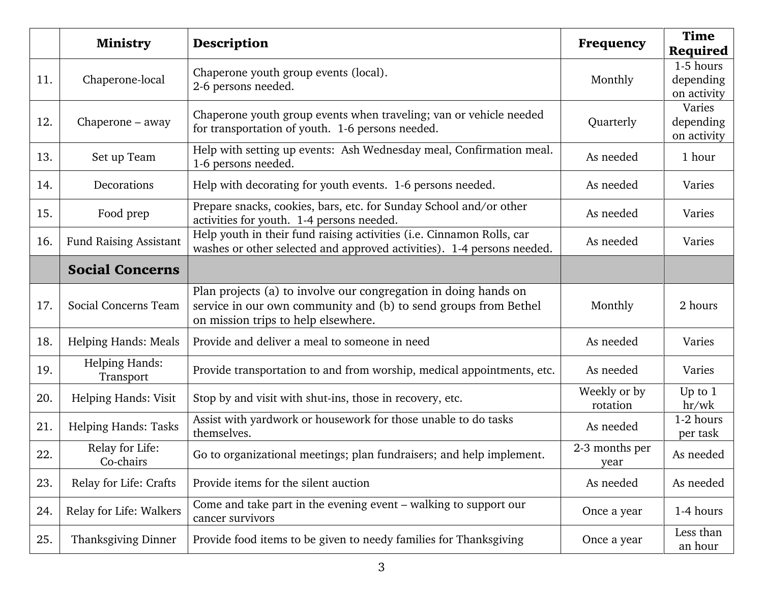|     | <b>Ministry</b>                    | Description                                                                                                                                                               | Frequency                | <b>Time</b><br>Required               |
|-----|------------------------------------|---------------------------------------------------------------------------------------------------------------------------------------------------------------------------|--------------------------|---------------------------------------|
| 11. | Chaperone-local                    | Chaperone youth group events (local).<br>2-6 persons needed.                                                                                                              | Monthly                  | 1-5 hours<br>depending<br>on activity |
| 12. | Chaperone – away                   | Chaperone youth group events when traveling; van or vehicle needed<br>for transportation of youth. 1-6 persons needed.                                                    | Quarterly                | Varies<br>depending<br>on activity    |
| 13. | Set up Team                        | Help with setting up events: Ash Wednesday meal, Confirmation meal.<br>1-6 persons needed.                                                                                | As needed                | 1 hour                                |
| 14. | Decorations                        | Help with decorating for youth events. 1-6 persons needed.                                                                                                                | As needed                | Varies                                |
| 15. | Food prep                          | Prepare snacks, cookies, bars, etc. for Sunday School and/or other<br>activities for youth. 1-4 persons needed.                                                           | As needed                | Varies                                |
| 16. | Fund Raising Assistant             | Help youth in their fund raising activities (i.e. Cinnamon Rolls, car<br>washes or other selected and approved activities). 1-4 persons needed.                           | As needed                | Varies                                |
|     | <b>Social Concerns</b>             |                                                                                                                                                                           |                          |                                       |
| 17. | Social Concerns Team               | Plan projects (a) to involve our congregation in doing hands on<br>service in our own community and (b) to send groups from Bethel<br>on mission trips to help elsewhere. | Monthly                  | 2 hours                               |
| 18. | Helping Hands: Meals               | Provide and deliver a meal to someone in need                                                                                                                             | As needed                | Varies                                |
| 19. | <b>Helping Hands:</b><br>Transport | Provide transportation to and from worship, medical appointments, etc.                                                                                                    | As needed                | Varies                                |
| 20. | Helping Hands: Visit               | Stop by and visit with shut-ins, those in recovery, etc.                                                                                                                  | Weekly or by<br>rotation | Up to $1$<br>hr/wk                    |
| 21. | Helping Hands: Tasks               | Assist with yardwork or housework for those unable to do tasks<br>themselves.                                                                                             | As needed                | 1-2 hours<br>per task                 |
| 22. | Relay for Life:<br>Co-chairs       | Go to organizational meetings; plan fundraisers; and help implement.                                                                                                      | 2-3 months per<br>year   | As needed                             |
| 23. | Relay for Life: Crafts             | Provide items for the silent auction                                                                                                                                      | As needed                | As needed                             |
| 24. | Relay for Life: Walkers            | Come and take part in the evening event – walking to support our<br>cancer survivors                                                                                      | Once a year              | 1-4 hours                             |
| 25. | Thanksgiving Dinner                | Provide food items to be given to needy families for Thanksgiving                                                                                                         | Once a year              | Less than<br>an hour                  |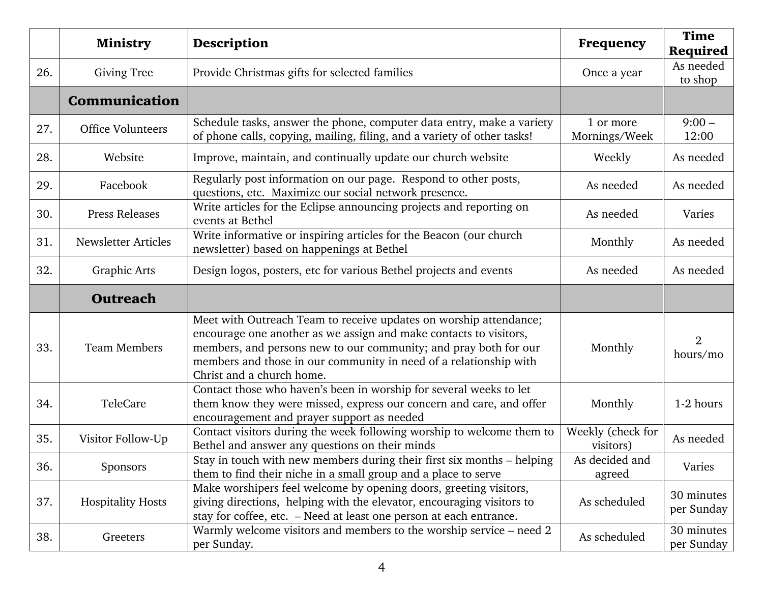|     | <b>Ministry</b>          | Description                                                                                                                                                                                                                                                                                                  | Frequency                      | <b>Time</b><br>Required    |
|-----|--------------------------|--------------------------------------------------------------------------------------------------------------------------------------------------------------------------------------------------------------------------------------------------------------------------------------------------------------|--------------------------------|----------------------------|
| 26. | <b>Giving Tree</b>       | Provide Christmas gifts for selected families                                                                                                                                                                                                                                                                | Once a year                    | As needed<br>to shop       |
|     | Communication            |                                                                                                                                                                                                                                                                                                              |                                |                            |
| 27. | <b>Office Volunteers</b> | Schedule tasks, answer the phone, computer data entry, make a variety<br>of phone calls, copying, mailing, filing, and a variety of other tasks!                                                                                                                                                             | 1 or more<br>Mornings/Week     | $9:00 -$<br>12:00          |
| 28. | Website                  | Improve, maintain, and continually update our church website                                                                                                                                                                                                                                                 | Weekly                         | As needed                  |
| 29. | Facebook                 | Regularly post information on our page. Respond to other posts,<br>questions, etc. Maximize our social network presence.                                                                                                                                                                                     | As needed                      | As needed                  |
| 30. | <b>Press Releases</b>    | Write articles for the Eclipse announcing projects and reporting on<br>events at Bethel                                                                                                                                                                                                                      | As needed                      | Varies                     |
| 31. | Newsletter Articles      | Write informative or inspiring articles for the Beacon (our church<br>newsletter) based on happenings at Bethel                                                                                                                                                                                              | Monthly                        | As needed                  |
| 32. | <b>Graphic Arts</b>      | Design logos, posters, etc for various Bethel projects and events                                                                                                                                                                                                                                            | As needed                      | As needed                  |
|     | <b>Outreach</b>          |                                                                                                                                                                                                                                                                                                              |                                |                            |
| 33. | <b>Team Members</b>      | Meet with Outreach Team to receive updates on worship attendance;<br>encourage one another as we assign and make contacts to visitors,<br>members, and persons new to our community; and pray both for our<br>members and those in our community in need of a relationship with<br>Christ and a church home. | Monthly                        | $\overline{2}$<br>hours/mo |
| 34. | TeleCare                 | Contact those who haven's been in worship for several weeks to let<br>them know they were missed, express our concern and care, and offer<br>encouragement and prayer support as needed                                                                                                                      | Monthly                        | 1-2 hours                  |
| 35. | Visitor Follow-Up        | Contact visitors during the week following worship to welcome them to<br>Bethel and answer any questions on their minds                                                                                                                                                                                      | Weekly (check for<br>visitors) | As needed                  |
| 36. | Sponsors                 | Stay in touch with new members during their first six months - helping<br>them to find their niche in a small group and a place to serve                                                                                                                                                                     | As decided and<br>agreed       | Varies                     |
| 37. | <b>Hospitality Hosts</b> | Make worshipers feel welcome by opening doors, greeting visitors,<br>giving directions, helping with the elevator, encouraging visitors to<br>stay for coffee, etc. - Need at least one person at each entrance.                                                                                             | As scheduled                   | 30 minutes<br>per Sunday   |
| 38. | Greeters                 | Warmly welcome visitors and members to the worship service – need 2<br>per Sunday.                                                                                                                                                                                                                           | As scheduled                   | 30 minutes<br>per Sunday   |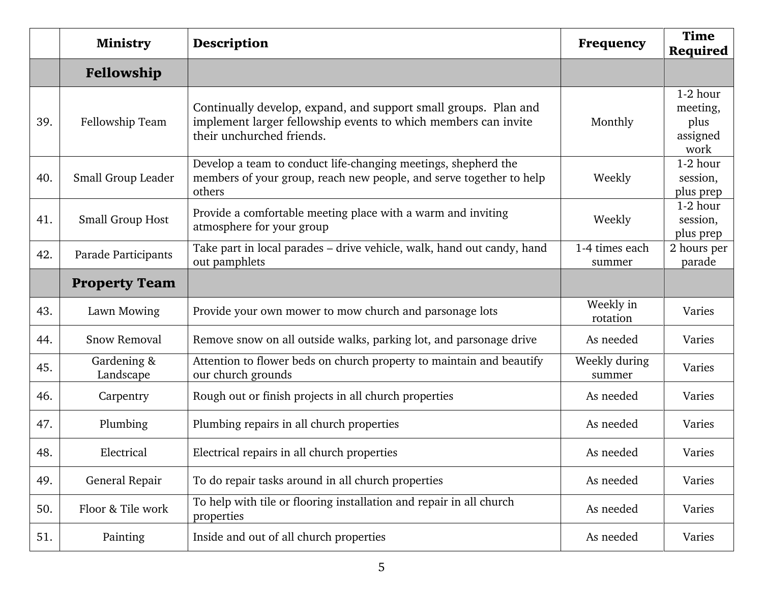|     | <b>Ministry</b>          | <b>Description</b>                                                                                                                                             | <b>Frequency</b>         | <b>Time</b><br>Required                          |
|-----|--------------------------|----------------------------------------------------------------------------------------------------------------------------------------------------------------|--------------------------|--------------------------------------------------|
|     | Fellowship               |                                                                                                                                                                |                          |                                                  |
| 39. | Fellowship Team          | Continually develop, expand, and support small groups. Plan and<br>implement larger fellowship events to which members can invite<br>their unchurched friends. | Monthly                  | 1-2 hour<br>meeting,<br>plus<br>assigned<br>work |
| 40. | Small Group Leader       | Develop a team to conduct life-changing meetings, shepherd the<br>members of your group, reach new people, and serve together to help<br>others                | Weekly                   | 1-2 hour<br>session,<br>plus prep                |
| 41. | <b>Small Group Host</b>  | Provide a comfortable meeting place with a warm and inviting<br>atmosphere for your group                                                                      | Weekly                   | 1-2 hour<br>session,<br>plus prep                |
| 42. | Parade Participants      | Take part in local parades - drive vehicle, walk, hand out candy, hand<br>out pamphlets                                                                        | 1-4 times each<br>summer | 2 hours per<br>parade                            |
|     | <b>Property Team</b>     |                                                                                                                                                                |                          |                                                  |
| 43. | Lawn Mowing              | Provide your own mower to mow church and parsonage lots                                                                                                        | Weekly in<br>rotation    | Varies                                           |
| 44. | <b>Snow Removal</b>      | Remove snow on all outside walks, parking lot, and parsonage drive                                                                                             | As needed                | Varies                                           |
| 45. | Gardening &<br>Landscape | Attention to flower beds on church property to maintain and beautify<br>our church grounds                                                                     | Weekly during<br>summer  | Varies                                           |
| 46. | Carpentry                | Rough out or finish projects in all church properties                                                                                                          | As needed                | Varies                                           |
| 47. | Plumbing                 | Plumbing repairs in all church properties                                                                                                                      | As needed                | Varies                                           |
| 48. | Electrical               | Electrical repairs in all church properties                                                                                                                    | As needed                | Varies                                           |
| 49. | General Repair           | To do repair tasks around in all church properties                                                                                                             | As needed                | Varies                                           |
| 50. | Floor & Tile work        | To help with tile or flooring installation and repair in all church<br>properties                                                                              | As needed                | Varies                                           |
| 51. | Painting                 | Inside and out of all church properties                                                                                                                        | As needed                | Varies                                           |